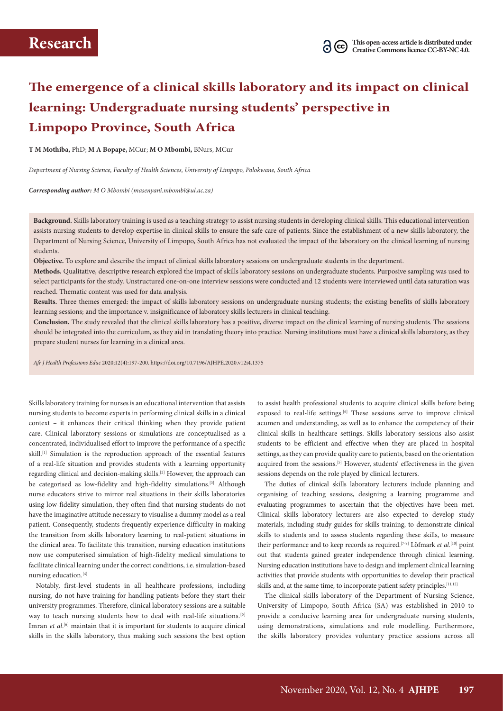# **The emergence of a clinical skills laboratory and its impact on clinical learning: Undergraduate nursing students' perspective in Limpopo Province, South Africa**

**T M Mothiba,** PhD; **M A Bopape,** MCur; **M O Mbombi,** BNurs, MCur

*Department of Nursing Science, Faculty of Health Sciences, University of Limpopo, Polokwane, South Africa* 

*Corresponding author: M O Mbombi (masenyani.mbombi@ul.ac.za)*

**Background.** Skills laboratory training is used as a teaching strategy to assist nursing students in developing clinical skills. This educational intervention assists nursing students to develop expertise in clinical skills to ensure the safe care of patients. Since the establishment of a new skills laboratory, the Department of Nursing Science, University of Limpopo, South Africa has not evaluated the impact of the laboratory on the clinical learning of nursing students.

**Objective.** To explore and describe the impact of clinical skills laboratory sessions on undergraduate students in the department.

**Methods.** Qualitative, descriptive research explored the impact of skills laboratory sessions on undergraduate students. Purposive sampling was used to select participants for the study. Unstructured one-on-one interview sessions were conducted and 12 students were interviewed until data saturation was reached. Thematic content was used for data analysis.

**Results.** Three themes emerged: the impact of skills laboratory sessions on undergraduate nursing students; the existing benefits of skills laboratory learning sessions; and the importance v. insignificance of laboratory skills lecturers in clinical teaching.

**Conclusion.** The study revealed that the clinical skills laboratory has a positive, diverse impact on the clinical learning of nursing students. The sessions should be integrated into the curriculum, as they aid in translating theory into practice. Nursing institutions must have a clinical skills laboratory, as they prepare student nurses for learning in a clinical area.

*Afr J Health Professions Educ* 2020;12(4):197-200. https://doi.org/10.7196/AJHPE.2020.v12i4.1375

Skills laboratory training for nurses is an educational intervention that assists nursing students to become experts in performing clinical skills in a clinical context – it enhances their critical thinking when they provide patient care. Clinical laboratory sessions or simulations are conceptualised as a concentrated, individualised effort to improve the performance of a specific skill.<sup>[1]</sup> Simulation is the reproduction approach of the essential features of a real-life situation and provides students with a learning opportunity regarding clinical and decision-making skills.<sup>[2]</sup> However, the approach can be categorised as low-fidelity and high-fidelity simulations.<sup>[3]</sup> Although nurse educators strive to mirror real situations in their skills laboratories using low-fidelity simulation, they often find that nursing students do not have the imaginative attitude necessary to visualise a dummy model as a real patient. Consequently, students frequently experience difficulty in making the transition from skills laboratory learning to real-patient situations in the clinical area. To facilitate this transition, nursing education institutions now use computerised simulation of high-fidelity medical simulations to facilitate clinical learning under the correct conditions, i.e. simulation-based nursing education.[4]

Notably, first-level students in all healthcare professions, including nursing, do not have training for handling patients before they start their university programmes. Therefore, clinical laboratory sessions are a suitable way to teach nursing students how to deal with real-life situations.<sup>[5]</sup> Imran *et al.*<sup>[6]</sup> maintain that it is important for students to acquire clinical skills in the skills laboratory, thus making such sessions the best option

to assist health professional students to acquire clinical skills before being exposed to real-life settings.<sup>[6]</sup> These sessions serve to improve clinical acumen and understanding, as well as to enhance the competency of their clinical skills in healthcare settings. Skills laboratory sessions also assist students to be efficient and effective when they are placed in hospital settings, as they can provide quality care to patients, based on the orientation acquired from the sessions.<sup>[5]</sup> However, students' effectiveness in the given sessions depends on the role played by clinical lecturers.

The duties of clinical skills laboratory lecturers include planning and organising of teaching sessions, designing a learning programme and evaluating programmes to ascertain that the objectives have been met. Clinical skills laboratory lecturers are also expected to develop study materials, including study guides for skills training, to demonstrate clinical skills to students and to assess students regarding these skills, to measure their performance and to keep records as required.<sup>[7-9]</sup> Löfmark *et al.*<sup>[10]</sup> point out that students gained greater independence through clinical learning. Nursing education institutions have to design and implement clinical learning activities that provide students with opportunities to develop their practical skills and, at the same time, to incorporate patient safety principles.<sup>[11,12]</sup>

The clinical skills laboratory of the Department of Nursing Science, University of Limpopo, South Africa (SA) was established in 2010 to provide a conducive learning area for undergraduate nursing students, using demonstrations, simulations and role modelling. Furthermore, the skills laboratory provides voluntary practice sessions across all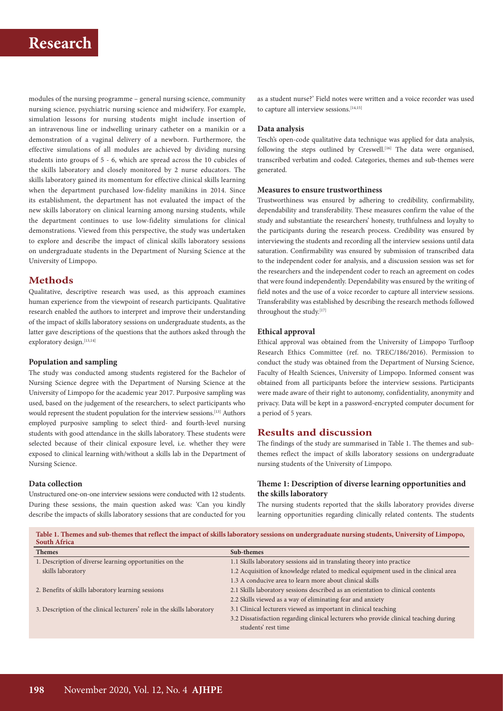# **Research**

modules of the nursing programme – general nursing science, community nursing science, psychiatric nursing science and midwifery. For example, simulation lessons for nursing students might include insertion of an intravenous line or indwelling urinary catheter on a manikin or a demonstration of a vaginal delivery of a newborn. Furthermore, the effective simulations of all modules are achieved by dividing nursing students into groups of 5 - 6, which are spread across the 10 cubicles of the skills laboratory and closely monitored by 2 nurse educators. The skills laboratory gained its momentum for effective clinical skills learning when the department purchased low-fidelity manikins in 2014. Since its establishment, the department has not evaluated the impact of the new skills laboratory on clinical learning among nursing students, while the department continues to use low-fidelity simulations for clinical demonstrations. Viewed from this perspective, the study was undertaken to explore and describe the impact of clinical skills laboratory sessions on undergraduate students in the Department of Nursing Science at the University of Limpopo.

# **Methods**

Qualitative, descriptive research was used, as this approach examines human experience from the viewpoint of research participants. Qualitative research enabled the authors to interpret and improve their understanding of the impact of skills laboratory sessions on undergraduate students, as the latter gave descriptions of the questions that the authors asked through the exploratory design.<sup>[13,14]</sup>

### **Population and sampling**

The study was conducted among students registered for the Bachelor of Nursing Science degree with the Department of Nursing Science at the University of Limpopo for the academic year 2017. Purposive sampling was used, based on the judgement of the researchers, to select participants who would represent the student population for the interview sessions.[13] Authors employed purposive sampling to select third- and fourth-level nursing students with good attendance in the skills laboratory. These students were selected because of their clinical exposure level, i.e. whether they were exposed to clinical learning with/without a skills lab in the Department of Nursing Science.

#### **Data collection**

Unstructured one-on-one interview sessions were conducted with 12 students. During these sessions, the main question asked was: 'Can you kindly describe the impacts of skills laboratory sessions that are conducted for you

as a student nurse?' Field notes were written and a voice recorder was used to capture all interview sessions.<sup>[14,15]</sup>

#### **Data analysis**

Tesch's open-code qualitative data technique was applied for data analysis, following the steps outlined by Creswell.<sup>[16]</sup> The data were organised, transcribed verbatim and coded. Categories, themes and sub-themes were generated.

## **Measures to ensure trustworthiness**

Trustworthiness was ensured by adhering to credibility, confirmability, dependability and transferability. These measures confirm the value of the study and substantiate the researchers' honesty, truthfulness and loyalty to the participants during the research process. Credibility was ensured by interviewing the students and recording all the interview sessions until data saturation. Confirmability was ensured by submission of transcribed data to the independent coder for analysis, and a discussion session was set for the researchers and the independent coder to reach an agreement on codes that were found independently. Dependability was ensured by the writing of field notes and the use of a voice recorder to capture all interview sessions. Transferability was established by describing the research methods followed throughout the study.<sup>[17]</sup>

#### **Ethical approval**

Ethical approval was obtained from the University of Limpopo Turfloop Research Ethics Committee (ref. no. TREC/186/2016). Permission to conduct the study was obtained from the Department of Nursing Science, Faculty of Health Sciences, University of Limpopo. Informed consent was obtained from all participants before the interview sessions. Participants were made aware of their right to autonomy, confidentiality, anonymity and privacy. Data will be kept in a password-encrypted computer document for a period of 5 years.

# **Results and discussion**

The findings of the study are summarised in Table 1. The themes and subthemes reflect the impact of skills laboratory sessions on undergraduate nursing students of the University of Limpopo.

## **Theme 1: Description of diverse learning opportunities and the skills laboratory**

The nursing students reported that the skills laboratory provides diverse learning opportunities regarding clinically related contents. The students

**Table 1. Themes and sub-themes that reflect the impact of skills laboratory sessions on undergraduate nursing students, University of Limpopo, South Africa**

| <b>Themes</b>                                                           | Sub-themes                                                                            |
|-------------------------------------------------------------------------|---------------------------------------------------------------------------------------|
| 1. Description of diverse learning opportunities on the                 | 1.1 Skills laboratory sessions aid in translating theory into practice                |
| skills laboratory                                                       | 1.2 Acquisition of knowledge related to medical equipment used in the clinical area   |
|                                                                         | 1.3 A conducive area to learn more about clinical skills                              |
| 2. Benefits of skills laboratory learning sessions                      | 2.1 Skills laboratory sessions described as an orientation to clinical contents       |
|                                                                         | 2.2 Skills viewed as a way of eliminating fear and anxiety                            |
| 3. Description of the clinical lecturers' role in the skills laboratory | 3.1 Clinical lecturers viewed as important in clinical teaching                       |
|                                                                         | 3.2 Dissatisfaction regarding clinical lecturers who provide clinical teaching during |
|                                                                         | students' rest time                                                                   |
|                                                                         |                                                                                       |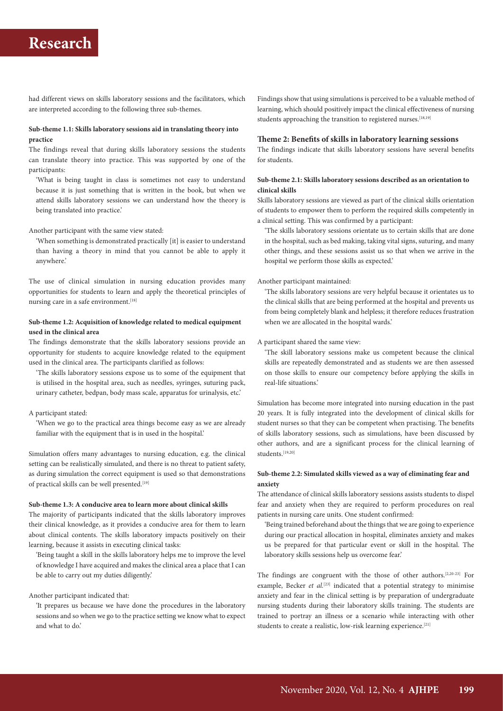# **Research**

had different views on skills laboratory sessions and the facilitators, which are interpreted according to the following three sub-themes.

## **Sub-theme 1.1: Skills laboratory sessions aid in translating theory into practice**

The findings reveal that during skills laboratory sessions the students can translate theory into practice. This was supported by one of the participants:

'What is being taught in class is sometimes not easy to understand because it is just something that is written in the book, but when we attend skills laboratory sessions we can understand how the theory is being translated into practice.'

Another participant with the same view stated:

'When something is demonstrated practically [it] is easier to understand than having a theory in mind that you cannot be able to apply it anywhere.'

The use of clinical simulation in nursing education provides many opportunities for students to learn and apply the theoretical principles of nursing care in a safe environment.<sup>[18]</sup>

### **Sub-theme 1.2: Acquisition of knowledge related to medical equipment used in the clinical area**

The findings demonstrate that the skills laboratory sessions provide an opportunity for students to acquire knowledge related to the equipment used in the clinical area. The participants clarified as follows:

'The skills laboratory sessions expose us to some of the equipment that is utilised in the hospital area, such as needles, syringes, suturing pack, urinary catheter, bedpan, body mass scale, apparatus for urinalysis, etc.'

#### A participant stated:

'When we go to the practical area things become easy as we are already familiar with the equipment that is in used in the hospital.'

Simulation offers many advantages to nursing education, e.g. the clinical setting can be realistically simulated, and there is no threat to patient safety, as during simulation the correct equipment is used so that demonstrations of practical skills can be well presented.<sup>[19]</sup>

#### **Sub-theme 1.3: A conducive area to learn more about clinical skills**

The majority of participants indicated that the skills laboratory improves their clinical knowledge, as it provides a conducive area for them to learn about clinical contents. The skills laboratory impacts positively on their learning, because it assists in executing clinical tasks:

'Being taught a skill in the skills laboratory helps me to improve the level of knowledge I have acquired and makes the clinical area a place that I can be able to carry out my duties diligently.'

## Another participant indicated that:

'It prepares us because we have done the procedures in the laboratory sessions and so when we go to the practice setting we know what to expect and what to do.'

Findings show that using simulations is perceived to be a valuable method of learning, which should positively impact the clinical effectiveness of nursing students approaching the transition to registered nurses.<sup>[18,19]</sup>

#### **Theme 2: Benefits of skills in laboratory learning sessions**

The findings indicate that skills laboratory sessions have several benefits for students.

## **Sub-theme 2.1: Skills laboratory sessions described as an orientation to clinical skills**

Skills laboratory sessions are viewed as part of the clinical skills orientation of students to empower them to perform the required skills competently in a clinical setting. This was confirmed by a participant:

'The skills laboratory sessions orientate us to certain skills that are done in the hospital, such as bed making, taking vital signs, suturing, and many other things, and these sessions assist us so that when we arrive in the hospital we perform those skills as expected.'

#### Another participant maintained:

'The skills laboratory sessions are very helpful because it orientates us to the clinical skills that are being performed at the hospital and prevents us from being completely blank and helpless; it therefore reduces frustration when we are allocated in the hospital wards.'

#### A participant shared the same view:

'The skill laboratory sessions make us competent because the clinical skills are repeatedly demonstrated and as students we are then assessed on those skills to ensure our competency before applying the skills in real-life situations.'

Simulation has become more integrated into nursing education in the past 20 years. It is fully integrated into the development of clinical skills for student nurses so that they can be competent when practising. The benefits of skills laboratory sessions, such as simulations, have been discussed by other authors, and are a significant process for the clinical learning of students.<sup>[19,20]</sup>

## **Sub-theme 2.2: Simulated skills viewed as a way of eliminating fear and anxiety**

The attendance of clinical skills laboratory sessions assists students to dispel fear and anxiety when they are required to perform procedures on real patients in nursing care units. One student confirmed:

'Being trained beforehand about the things that we are going to experience during our practical allocation in hospital, eliminates anxiety and makes us be prepared for that particular event or skill in the hospital. The laboratory skills sessions help us overcome fear.'

The findings are congruent with the those of other authors.[2,20-23] For example, Becker *et al.*<sup>[23]</sup> indicated that a potential strategy to minimise anxiety and fear in the clinical setting is by preparation of undergraduate nursing students during their laboratory skills training. The students are trained to portray an illness or a scenario while interacting with other students to create a realistic, low-risk learning experience.<sup>[21]</sup>